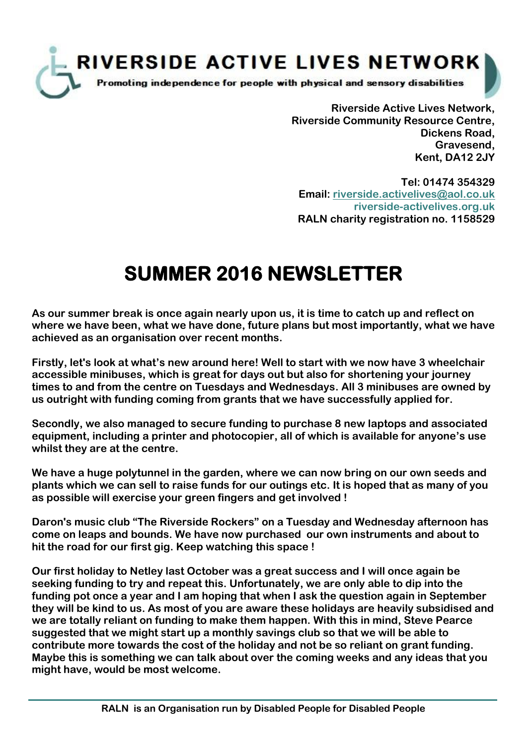

**Riverside Active Lives Network, Riverside Community Resource Centre, Dickens Road, Gravesend, Kent, DA12 2JY**

**Tel: 01474 354329 Email: [riverside.activelives@aol.co.uk](mailto:riverside.activelives@aol.co.uk;) riverside-activelives.org.uk RALN charity registration no. 1158529**

## **SUMMER 2016 NEWSLETTER**

**As our summer break is once again nearly upon us, it is time to catch up and reflect on where we have been, what we have done, future plans but most importantly, what we have achieved as an organisation over recent months.**

**Firstly, let's look at what's new around here! Well to start with we now have 3 wheelchair accessible minibuses, which is great for days out but also for shortening your journey times to and from the centre on Tuesdays and Wednesdays. All 3 minibuses are owned by us outright with funding coming from grants that we have successfully applied for.**

**Secondly, we also managed to secure funding to purchase 8 new laptops and associated equipment, including a printer and photocopier, all of which is available for anyone's use whilst they are at the centre.**

**We have a huge polytunnel in the garden, where we can now bring on our own seeds and plants which we can sell to raise funds for our outings etc. It is hoped that as many of you as possible will exercise your green fingers and get involved !**

**Daron's music club "The Riverside Rockers" on a Tuesday and Wednesday afternoon has come on leaps and bounds. We have now purchased our own instruments and about to hit the road for our first gig. Keep watching this space !**

**Our first holiday to Netley last October was a great success and I will once again be seeking funding to try and repeat this. Unfortunately, we are only able to dip into the funding pot once a year and I am hoping that when I ask the question again in September they will be kind to us. As most of you are aware these holidays are heavily subsidised and we are totally reliant on funding to make them happen. With this in mind, Steve Pearce suggested that we might start up a monthly savings club so that we will be able to contribute more towards the cost of the holiday and not be so reliant on grant funding. Maybe this is something we can talk about over the coming weeks and any ideas that you might have, would be most welcome.**